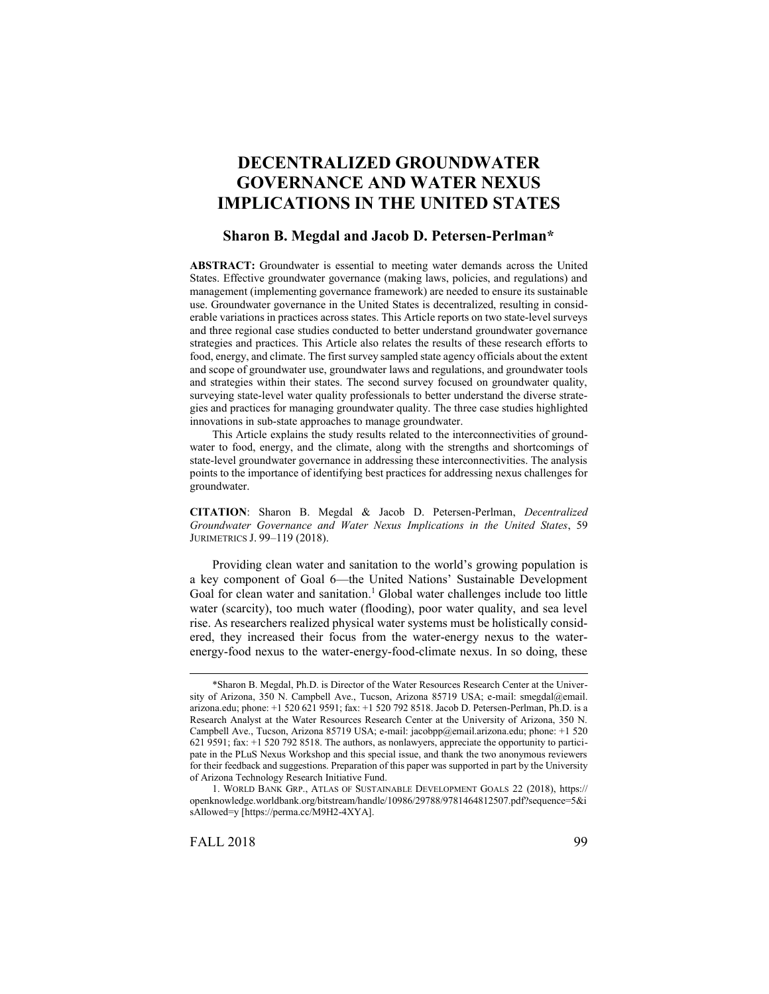# **DECENTRALIZED GROUNDWATER GOVERNANCE AND WATER NEXUS IMPLICATIONS IN THE UNITED STATES**

# **Sharon B. Megdal and Jacob D. Petersen-Perlman\***

**ABSTRACT:** Groundwater is essential to meeting water demands across the United States. Effective groundwater governance (making laws, policies, and regulations) and management (implementing governance framework) are needed to ensure its sustainable use. Groundwater governance in the United States is decentralized, resulting in considerable variations in practices across states. This Article reports on two state-level surveys and three regional case studies conducted to better understand groundwater governance strategies and practices. This Article also relates the results of these research efforts to food, energy, and climate. The first survey sampled state agency officials about the extent and scope of groundwater use, groundwater laws and regulations, and groundwater tools and strategies within their states. The second survey focused on groundwater quality, surveying state-level water quality professionals to better understand the diverse strategies and practices for managing groundwater quality. The three case studies highlighted innovations in sub-state approaches to manage groundwater.

This Article explains the study results related to the interconnectivities of groundwater to food, energy, and the climate, along with the strengths and shortcomings of state-level groundwater governance in addressing these interconnectivities. The analysis points to the importance of identifying best practices for addressing nexus challenges for groundwater.

**CITATION**: Sharon B. Megdal & Jacob D. Petersen-Perlman, *Decentralized Groundwater Governance and Water Nexus Implications in the United States*, 59 JURIMETRICS J. 99–119 (2018).

Providing clean water and sanitation to the world's growing population is a key component of Goal 6—the United Nations' Sustainable Development Goal for clean water and sanitation.<sup>1</sup> Global water challenges include too little water (scarcity), too much water (flooding), poor water quality, and sea level rise. As researchers realized physical water systems must be holistically considered, they increased their focus from the water-energy nexus to the waterenergy-food nexus to the water-energy-food-climate nexus. In so doing, these

l

<sup>\*</sup>Sharon B. Megdal, Ph.D. is Director of the Water Resources Research Center at the University of Arizona, 350 N. Campbell Ave., Tucson, Arizona 85719 USA; e-mail: smegdal@email. arizona.edu; phone: +1 520 621 9591; fax: +1 520 792 8518. Jacob D. Petersen-Perlman, Ph.D. is a Research Analyst at the Water Resources Research Center at the University of Arizona, 350 N. Campbell Ave., Tucson, Arizona 85719 USA; e-mail: jacobpp@email.arizona.edu; phone: +1 520 621 9591; fax: +1 520 792 8518. The authors, as nonlawyers, appreciate the opportunity to participate in the PLuS Nexus Workshop and this special issue, and thank the two anonymous reviewers for their feedback and suggestions. Preparation of this paper was supported in part by the University of Arizona Technology Research Initiative Fund.

<sup>1.</sup> WORLD BANK GRP., ATLAS OF SUSTAINABLE DEVELOPMENT GOALS 22 (2018), https:// openknowledge.worldbank.org/bitstream/handle/10986/29788/9781464812507.pdf?sequence=5&i sAllowed=y [https://perma.cc/M9H2-4XYA].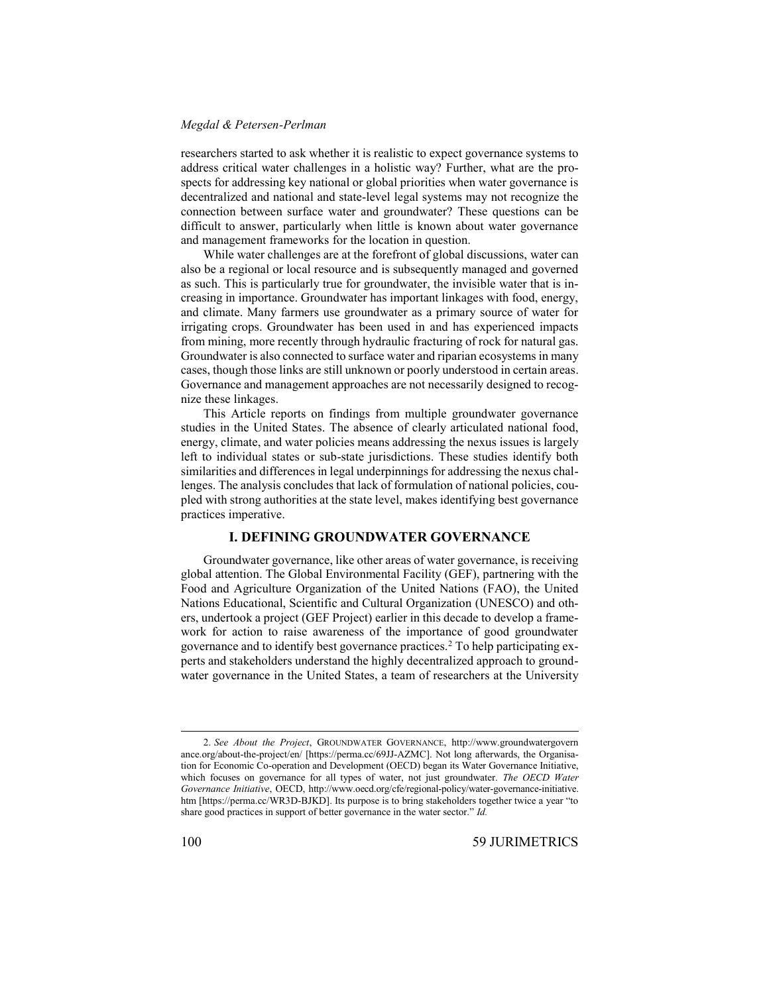researchers started to ask whether it is realistic to expect governance systems to address critical water challenges in a holistic way? Further, what are the prospects for addressing key national or global priorities when water governance is decentralized and national and state-level legal systems may not recognize the connection between surface water and groundwater? These questions can be difficult to answer, particularly when little is known about water governance and management frameworks for the location in question.

While water challenges are at the forefront of global discussions, water can also be a regional or local resource and is subsequently managed and governed as such. This is particularly true for groundwater, the invisible water that is increasing in importance. Groundwater has important linkages with food, energy, and climate. Many farmers use groundwater as a primary source of water for irrigating crops. Groundwater has been used in and has experienced impacts from mining, more recently through hydraulic fracturing of rock for natural gas. Groundwater is also connected to surface water and riparian ecosystems in many cases, though those links are still unknown or poorly understood in certain areas. Governance and management approaches are not necessarily designed to recognize these linkages.

This Article reports on findings from multiple groundwater governance studies in the United States. The absence of clearly articulated national food, energy, climate, and water policies means addressing the nexus issues is largely left to individual states or sub-state jurisdictions. These studies identify both similarities and differences in legal underpinnings for addressing the nexus challenges. The analysis concludes that lack of formulation of national policies, coupled with strong authorities at the state level, makes identifying best governance practices imperative.

# **I. DEFINING GROUNDWATER GOVERNANCE**

Groundwater governance, like other areas of water governance, is receiving global attention. The Global Environmental Facility (GEF), partnering with the Food and Agriculture Organization of the United Nations (FAO), the United Nations Educational, Scientific and Cultural Organization (UNESCO) and others, undertook a project (GEF Project) earlier in this decade to develop a framework for action to raise awareness of the importance of good groundwater governance and to identify best governance practices.<sup>2</sup> To help participating experts and stakeholders understand the highly decentralized approach to groundwater governance in the United States, a team of researchers at the University

<sup>2.</sup> *See About the Project*, GROUNDWATER GOVERNANCE, http://www.groundwatergovern ance.org/about-the-project/en/ [https://perma.cc/69JJ-AZMC]. Not long afterwards, the Organisation for Economic Co-operation and Development (OECD) began its Water Governance Initiative, which focuses on governance for all types of water, not just groundwater. *The OECD Water Governance Initiative*, OECD, http://www.oecd.org/cfe/regional-policy/water-governance-initiative. htm [https://perma.cc/WR3D-BJKD]. Its purpose is to bring stakeholders together twice a year "to share good practices in support of better governance in the water sector." *Id.*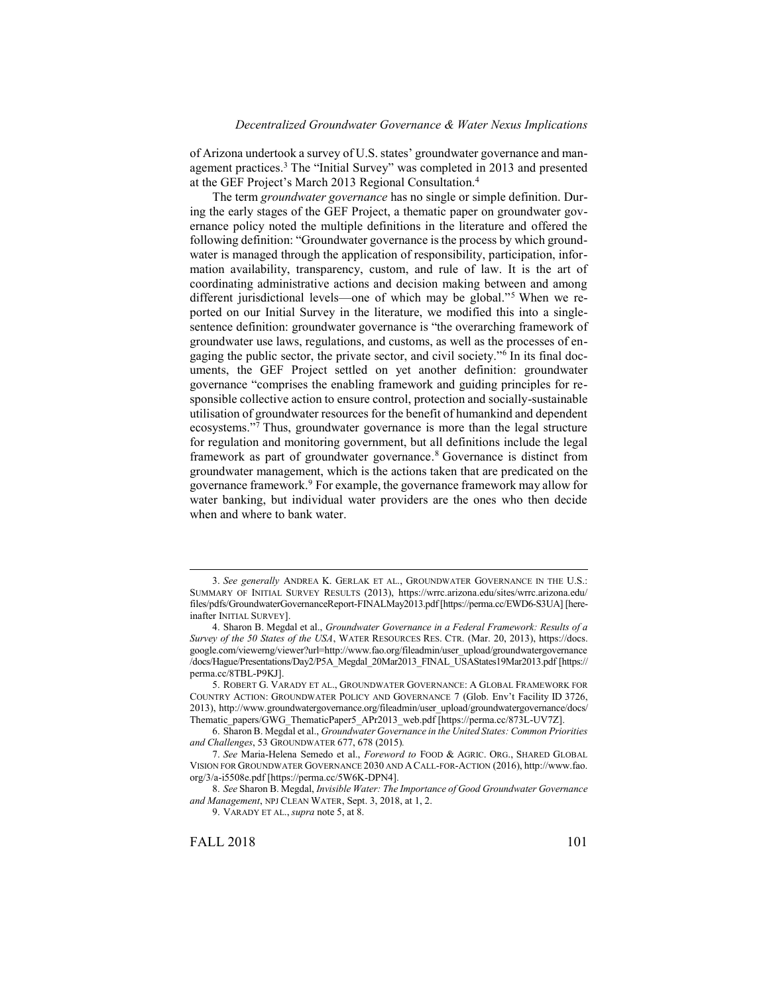<span id="page-2-1"></span>of Arizona undertook a survey of U.S. states' groundwater governance and management practices.<sup>3</sup> The "Initial Survey" was completed in 2013 and presented at the GEF Project's March 2013 Regional Consultation.<sup>4</sup>

<span id="page-2-2"></span><span id="page-2-0"></span>The term *groundwater governance* has no single or simple definition. During the early stages of the GEF Project, a thematic paper on groundwater governance policy noted the multiple definitions in the literature and offered the following definition: "Groundwater governance is the process by which groundwater is managed through the application of responsibility, participation, information availability, transparency, custom, and rule of law. It is the art of coordinating administrative actions and decision making between and among different jurisdictional levels—one of which may be global." <sup>5</sup> When we reported on our Initial Survey in the literature, we modified this into a singlesentence definition: groundwater governance is "the overarching framework of groundwater use laws, regulations, and customs, as well as the processes of engaging the public sector, the private sector, and civil society."<sup>6</sup> In its final documents, the GEF Project settled on yet another definition: groundwater governance "comprises the enabling framework and guiding principles for responsible collective action to ensure control, protection and socially-sustainable utilisation of groundwater resources for the benefit of humankind and dependent ecosystems." <sup>7</sup> Thus, groundwater governance is more than the legal structure for regulation and monitoring government, but all definitions include the legal framework as part of groundwater governance. <sup>8</sup> Governance is distinct from groundwater management, which is the actions taken that are predicated on the governance framework. <sup>9</sup> For example, the governance framework may allow for water banking, but individual water providers are the ones who then decide when and where to bank water.

9. VARADY ET AL., *supra* not[e 5,](#page-2-0) at 8.

<sup>3.</sup> *See generally* ANDREA K. GERLAK ET AL., GROUNDWATER GOVERNANCE IN THE U.S.: SUMMARY OF INITIAL SURVEY RESULTS (2013), https://wrrc.arizona.edu/sites/wrrc.arizona.edu/ files/pdfs/GroundwaterGovernanceReport-FINALMay2013.pdf[https://perma.cc/EWD6-S3UA] [hereinafter INITIAL SURVEY].

<sup>4.</sup> Sharon B. Megdal et al., *Groundwater Governance in a Federal Framework: Results of a Survey of the 50 States of the USA*, WATER RESOURCES RES. CTR. (Mar. 20, 2013), https://docs. google.com/viewerng/viewer?url=http://www.fao.org/fileadmin/user\_upload/groundwatergovernance /docs/Hague/Presentations/Day2/P5A\_Megdal\_20Mar2013\_FINAL\_USAStates19Mar2013.pdf [https:// perma.cc/8TBL-P9KJ].

<sup>5.</sup> ROBERT G. VARADY ET AL., GROUNDWATER GOVERNANCE: A GLOBAL FRAMEWORK FOR COUNTRY ACTION: GROUNDWATER POLICY AND GOVERNANCE 7 (Glob. Env't Facility ID 3726, 2013), http://www.groundwatergovernance.org/fileadmin/user\_upload/groundwatergovernance/docs/ Thematic\_papers/GWG\_ThematicPaper5\_APr2013\_web.pdf [https://perma.cc/873L-UV7Z].

<sup>6.</sup> Sharon B. Megdal et al., *Groundwater Governance in the United States: Common Priorities and Challenges*, 53 GROUNDWATER 677, 678 (2015)*.*

<sup>7.</sup> *See* Maria-Helena Semedo et al., *Foreword to* FOOD & AGRIC. ORG., SHARED GLOBAL VISION FOR GROUNDWATER GOVERNANCE 2030 AND A CALL-FOR-ACTION (2016), http://www.fao. org/3/a-i5508e.pdf [https://perma.cc/5W6K-DPN4].

<sup>8.</sup> *See* Sharon B. Megdal, *Invisible Water: The Importance of Good Groundwater Governance and Management*, NPJ CLEAN WATER, Sept. 3, 2018, at 1, 2.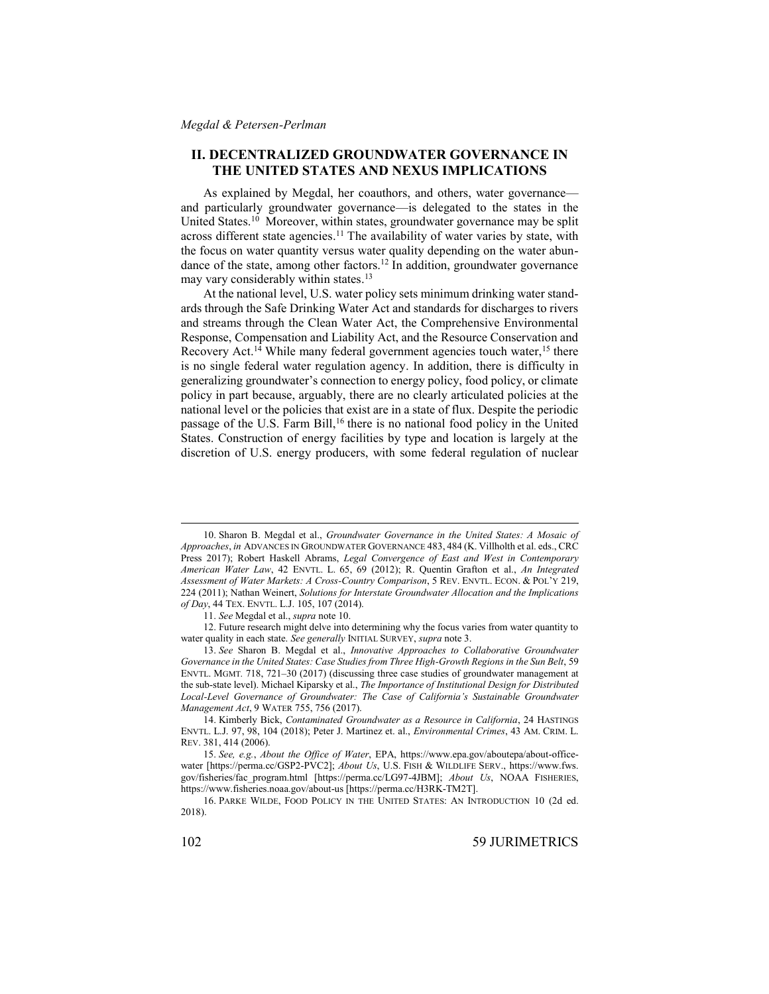# **II. DECENTRALIZED GROUNDWATER GOVERNANCE IN THE UNITED STATES AND NEXUS IMPLICATIONS**

<span id="page-3-0"></span>As explained by Megdal, her coauthors, and others, water governance and particularly groundwater governance—is delegated to the states in the United States. <sup>10</sup> Moreover, within states, groundwater governance may be split across different state agencies.<sup>11</sup> The availability of water varies by state, with the focus on water quantity versus water quality depending on the water abundance of the state, among other factors. <sup>12</sup> In addition, groundwater governance may vary considerably within states.<sup>13</sup>

<span id="page-3-1"></span>At the national level, U.S. water policy sets minimum drinking water standards through the Safe Drinking Water Act and standards for discharges to rivers and streams through the Clean Water Act, the Comprehensive Environmental Response, Compensation and Liability Act, and the Resource Conservation and Recovery Act.<sup>14</sup> While many federal government agencies touch water,<sup>15</sup> there is no single federal water regulation agency. In addition, there is difficulty in generalizing groundwater's connection to energy policy, food policy, or climate policy in part because, arguably, there are no clearly articulated policies at the national level or the policies that exist are in a state of flux. Despite the periodic passage of the U.S. Farm Bill,<sup>16</sup> there is no national food policy in the United States. Construction of energy facilities by type and location is largely at the discretion of U.S. energy producers, with some federal regulation of nuclear

<sup>10.</sup> Sharon B. Megdal et al., *Groundwater Governance in the United States: A Mosaic of Approaches*, *in* ADVANCES IN GROUNDWATER GOVERNANCE 483, 484 (K. Villholth et al. eds., CRC Press 2017); Robert Haskell Abrams, *Legal Convergence of East and West in Contemporary American Water Law*, 42 ENVTL. L. 65, 69 (2012); R. Quentin Grafton et al., *An Integrated Assessment of Water Markets: A Cross-Country Comparison*, 5 REV. ENVTL. ECON. & POL'Y 219, 224 (2011); Nathan Weinert, *Solutions for Interstate Groundwater Allocation and the Implications of Day*, 44 TEX. ENVTL. L.J. 105, 107 (2014).

<sup>11.</sup> *See* Megdal et al., *supra* not[e 10.](#page-3-0)

<sup>12.</sup> Future research might delve into determining why the focus varies from water quantity to water quality in each state. *See generally* INITIAL SURVEY, *supra* not[e 3.](#page-2-1)

<sup>13.</sup> *See* Sharon B. Megdal et al., *Innovative Approaches to Collaborative Groundwater Governance in the United States: Case Studies from Three High-Growth Regions in the Sun Belt*, 59 ENVTL. MGMT*.* 718, 721–30 (2017) (discussing three case studies of groundwater management at the sub-state level). Michael Kiparsky et al., *The Importance of Institutional Design for Distributed Local-Level Governance of Groundwater: The Case of California's Sustainable Groundwater Management Act*, 9 WATER 755, 756 (2017).

<sup>14.</sup> Kimberly Bick, *Contaminated Groundwater as a Resource in California*, 24 HASTINGS ENVTL. L.J. 97, 98, 104 (2018); Peter J. Martinez et. al., *Environmental Crimes*, 43 AM. CRIM. L. REV. 381, 414 (2006).

<sup>15.</sup> *See, e.g.*, *About the Office of Water*, EPA, https://www.epa.gov/aboutepa/about-officewater [https://perma.cc/GSP2-PVC2]; *About Us*, U.S. FISH & WILDLIFE SERV., https://www.fws. gov/fisheries/fac\_program.html [https://perma.cc/LG97-4JBM]; *About Us*, NOAA FISHERIES, https://www.fisheries.noaa.gov/about-us [https://perma.cc/H3RK-TM2T].

<sup>16.</sup> PARKE WILDE, FOOD POLICY IN THE UNITED STATES: AN INTRODUCTION 10 (2d ed. 2018).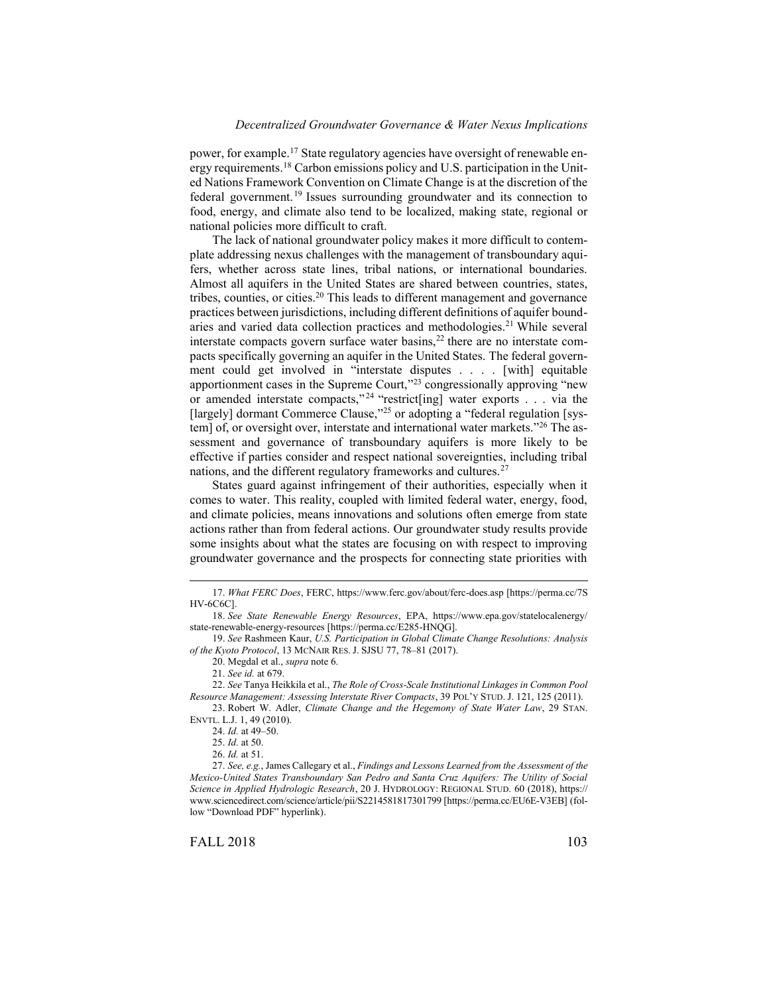power, for example.<sup>17</sup> State regulatory agencies have oversight of renewable energy requirements.<sup>18</sup> Carbon emissions policy and U.S. participation in the United Nations Framework Convention on Climate Change is at the discretion of the federal government.<sup>19</sup> Issues surrounding groundwater and its connection to food, energy, and climate also tend to be localized, making state, regional or national policies more difficult to craft.

The lack of national groundwater policy makes it more difficult to contemplate addressing nexus challenges with the management of transboundary aquifers, whether across state lines, tribal nations, or international boundaries. Almost all aquifers in the United States are shared between countries, states, tribes, counties, or cities. <sup>20</sup> This leads to different management and governance practices between jurisdictions, including different definitions of aquifer boundaries and varied data collection practices and methodologies.<sup>21</sup> While several interstate compacts govern surface water basins, $^{22}$  there are no interstate compacts specifically governing an aquifer in the United States. The federal government could get involved in "interstate disputes . . . . [with] equitable apportionment cases in the Supreme Court,"<sup>23</sup> congressionally approving "new or amended interstate compacts,"<sup>24</sup> "restrict[ing] water exports . . . via the [largely] dormant Commerce Clause,"<sup>25</sup> or adopting a "federal regulation [system] of, or oversight over, interstate and international water markets."<sup>26</sup> The assessment and governance of transboundary aquifers is more likely to be effective if parties consider and respect national sovereignties, including tribal nations, and the different regulatory frameworks and cultures.<sup>27</sup>

States guard against infringement of their authorities, especially when it comes to water. This reality, coupled with limited federal water, energy, food, and climate policies, means innovations and solutions often emerge from state actions rather than from federal actions. Our groundwater study results provide some insights about what the states are focusing on with respect to improving groundwater governance and the prospects for connecting state priorities with

<sup>17.</sup> *What FERC Does*, FERC, https://www.ferc.gov/about/ferc-does.asp [https://perma.cc/7S HV-6C6C].

<sup>18.</sup> *See State Renewable Energy Resources*, EPA, https://www.epa.gov/statelocalenergy/ state-renewable-energy-resources [https://perma.cc/E285-HNQG].

<sup>19.</sup> *See* Rashmeen Kaur, *U.S. Participation in Global Climate Change Resolutions: Analysis of the Kyoto Protocol*, 13 MCNAIR RES. J. SJSU 77, 78–81 (2017).

<sup>20.</sup> Megdal et al., *supra* not[e 6.](#page-2-2) 

<sup>21.</sup> *See id.* at 679.

<sup>22.</sup> *See* Tanya Heikkila et al., *The Role of Cross-Scale Institutional Linkages in Common Pool Resource Management: Assessing Interstate River Compacts*, 39 POL'Y STUD. J. 121, 125 (2011). 23. Robert W. Adler, *Climate Change and the Hegemony of State Water Law*, 29 STAN.

ENVTL. L.J. 1, 49 (2010).

<sup>24.</sup> *Id.* at 49–50.

<sup>25.</sup> *Id.* at 50.

<sup>26.</sup> *Id.* at 51.

<sup>27.</sup> *See, e.g.*, James Callegary et al., *Findings and Lessons Learned from the Assessment of the Mexico-United States Transboundary San Pedro and Santa Cruz Aquifers: The Utility of Social Science in Applied Hydrologic Research*, 20 J. HYDROLOGY: REGIONAL STUD. 60 (2018), https:// www.sciencedirect.com/science/article/pii/S2214581817301799 [https://perma.cc/EU6E-V3EB] (follow "Download PDF" hyperlink).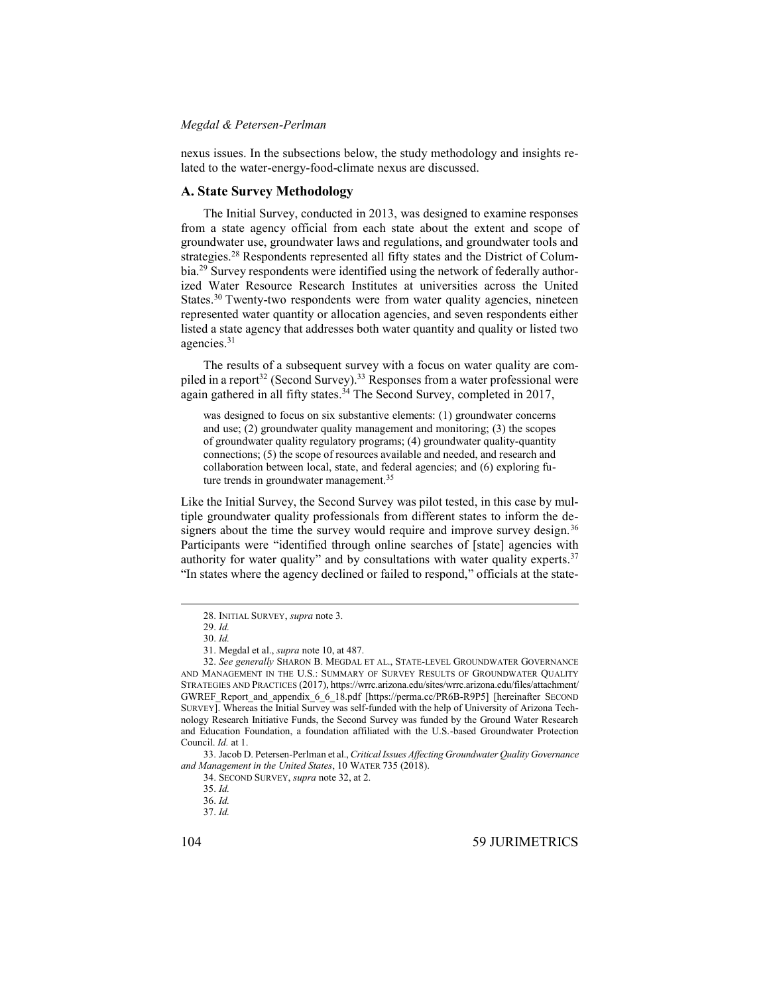nexus issues. In the subsections below, the study methodology and insights related to the water-energy-food-climate nexus are discussed.

### **A. State Survey Methodology**

The Initial Survey, conducted in 2013, was designed to examine responses from a state agency official from each state about the extent and scope of groundwater use, groundwater laws and regulations, and groundwater tools and strategies.<sup>28</sup> Respondents represented all fifty states and the District of Columbia.<sup>29</sup> Survey respondents were identified using the network of federally authorized Water Resource Research Institutes at universities across the United States.<sup>30</sup> Twenty-two respondents were from water quality agencies, nineteen represented water quantity or allocation agencies, and seven respondents either listed a state agency that addresses both water quantity and quality or listed two agencies.<sup>31</sup>

The results of a subsequent survey with a focus on water quality are compiled in a report<sup>32</sup> (Second Survey).<sup>33</sup> Responses from a water professional were again gathered in all fifty states.<sup>34</sup> The Second Survey, completed in 2017,

<span id="page-5-0"></span>was designed to focus on six substantive elements: (1) groundwater concerns and use; (2) groundwater quality management and monitoring; (3) the scopes of groundwater quality regulatory programs; (4) groundwater quality-quantity connections; (5) the scope of resources available and needed, and research and collaboration between local, state, and federal agencies; and (6) exploring future trends in groundwater management.<sup>35</sup>

Like the Initial Survey, the Second Survey was pilot tested, in this case by multiple groundwater quality professionals from different states to inform the designers about the time the survey would require and improve survey design.<sup>36</sup> Participants were "identified through online searches of [state] agencies with authority for water quality" and by consultations with water quality experts.<sup>37</sup> "In states where the agency declined or failed to respond," officials at the state-

<sup>28.</sup> INITIAL SURVEY, *supra* not[e 3.](#page-2-1)

<sup>29.</sup> *Id.* 30. *Id.*

<sup>31.</sup> Megdal et al., *supra* not[e 10,](#page-3-0) at 487.

<sup>32.</sup> *See generally* SHARON B. MEGDAL ET AL., STATE-LEVEL GROUNDWATER GOVERNANCE AND MANAGEMENT IN THE U.S.: SUMMARY OF SURVEY RESULTS OF GROUNDWATER QUALITY STRATEGIES AND PRACTICES (2017), https://wrrc.arizona.edu/sites/wrrc.arizona.edu/files/attachment/ GWREF\_Report\_and\_appendix\_6\_6\_18.pdf [https://perma.cc/PR6B-R9P5] [hereinafter SECOND SURVEY]. Whereas the Initial Survey was self-funded with the help of University of Arizona Technology Research Initiative Funds, the Second Survey was funded by the Ground Water Research and Education Foundation, a foundation affiliated with the U.S.-based Groundwater Protection Council. *Id.* at 1.

<sup>33.</sup> Jacob D. Petersen-Perlman et al., *Critical Issues Affecting Groundwater Quality Governance and Management in the United States*, 10 WATER 735 (2018).

<sup>34.</sup> SECOND SURVEY, *supra* not[e 32,](#page-5-0) at 2.

<sup>35.</sup> *Id.* 

<sup>36.</sup> *Id.*

<sup>37.</sup> *Id.*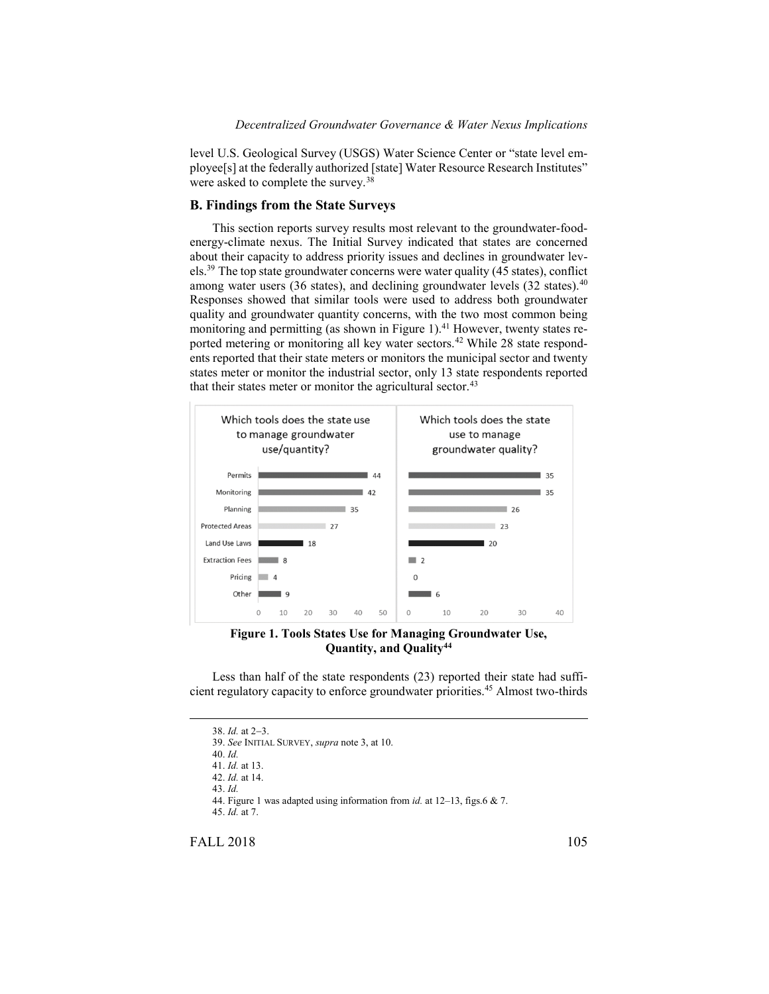level U.S. Geological Survey (USGS) Water Science Center or "state level employee[s] at the federally authorized [state] Water Resource Research Institutes" were asked to complete the survey.<sup>38</sup>

# **B. Findings from the State Surveys**

This section reports survey results most relevant to the groundwater-foodenergy-climate nexus. The Initial Survey indicated that states are concerned about their capacity to address priority issues and declines in groundwater levels.<sup>39</sup> The top state groundwater concerns were water quality (45 states), conflict among water users (36 states), and declining groundwater levels (32 states).<sup>40</sup> Responses showed that similar tools were used to address both groundwater quality and groundwater quantity concerns, with the two most common being monitoring and permitting (as shown in Figure 1).<sup>41</sup> However, twenty states reported metering or monitoring all key water sectors.<sup>42</sup> While 28 state respondents reported that their state meters or monitors the municipal sector and twenty states meter or monitor the industrial sector, only 13 state respondents reported that their states meter or monitor the agricultural sector.<sup>43</sup>



**Figure 1. Tools States Use for Managing Groundwater Use, Quantity, and Quality<sup>44</sup>**

Less than half of the state respondents (23) reported their state had sufficient regulatory capacity to enforce groundwater priorities.<sup>45</sup> Almost two-thirds

38. *Id.* at 2-3. 39. *See* INITIAL SURVEY, *supra* not[e 3,](#page-2-1) at 10. 40. *Id.* 41. *Id.* at 13. 42. *Id.* at 14. 43. *Id.* 44. Figure 1 was adapted using information from *id.* at 12–13, figs.6 & 7. 45. *Id.* at 7.

FALL 2018 105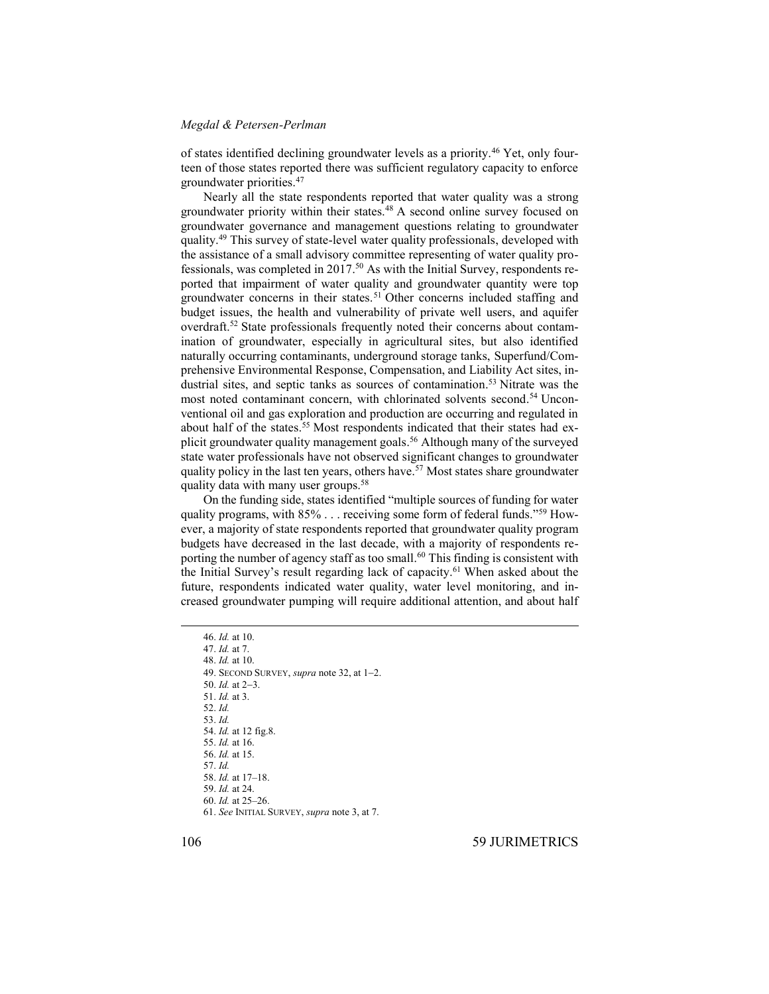of states identified declining groundwater levels as a priority.<sup>46</sup> Yet, only fourteen of those states reported there was sufficient regulatory capacity to enforce groundwater priorities. 47

Nearly all the state respondents reported that water quality was a strong groundwater priority within their states. <sup>48</sup> A second online survey focused on groundwater governance and management questions relating to groundwater quality. <sup>49</sup> This survey of state-level water quality professionals, developed with the assistance of a small advisory committee representing of water quality professionals, was completed in 2017.<sup>50</sup> As with the Initial Survey, respondents reported that impairment of water quality and groundwater quantity were top groundwater concerns in their states. <sup>51</sup> Other concerns included staffing and budget issues, the health and vulnerability of private well users, and aquifer overdraft.<sup>52</sup> State professionals frequently noted their concerns about contamination of groundwater, especially in agricultural sites, but also identified naturally occurring contaminants, underground storage tanks, Superfund/Comprehensive Environmental Response, Compensation, and Liability Act sites, industrial sites, and septic tanks as sources of contamination. <sup>53</sup> Nitrate was the most noted contaminant concern, with chlorinated solvents second. <sup>54</sup> Unconventional oil and gas exploration and production are occurring and regulated in about half of the states.<sup>55</sup> Most respondents indicated that their states had explicit groundwater quality management goals. <sup>56</sup> Although many of the surveyed state water professionals have not observed significant changes to groundwater quality policy in the last ten years, others have. <sup>57</sup> Most states share groundwater quality data with many user groups.<sup>58</sup>

On the funding side, states identified "multiple sources of funding for water quality programs, with 85% . . . receiving some form of federal funds."<sup>59</sup> However, a majority of state respondents reported that groundwater quality program budgets have decreased in the last decade, with a majority of respondents reporting the number of agency staff as too small. <sup>60</sup> This finding is consistent with the Initial Survey's result regarding lack of capacity. <sup>61</sup> When asked about the future, respondents indicated water quality, water level monitoring, and increased groundwater pumping will require additional attention, and about half

 $\overline{a}$ 

- 50. *Id.* at 2-3.
- 51. *Id.* at 3.
- 52. *Id.*
- 53. *Id.* 54. *Id.* at 12 fig.8.
- 55. *Id.* at 16.
- 56. *Id.* at 15.
- 57. *Id.*
- 58. *Id.* at 17–18.
- 59. *Id.* at 24.
- 60. *Id.* at 25–26. 61. *See* INITIAL SURVEY, *supra* not[e 3,](#page-2-1) at 7.

106 59 JURIMETRICS

<sup>46.</sup> *Id.* at 10.

<sup>47.</sup> *Id.* at 7.

<sup>48.</sup> *Id.* at 10.

<sup>49.</sup> SECOND SURVEY, *supra* not[e 32,](#page-5-0) at 1-2.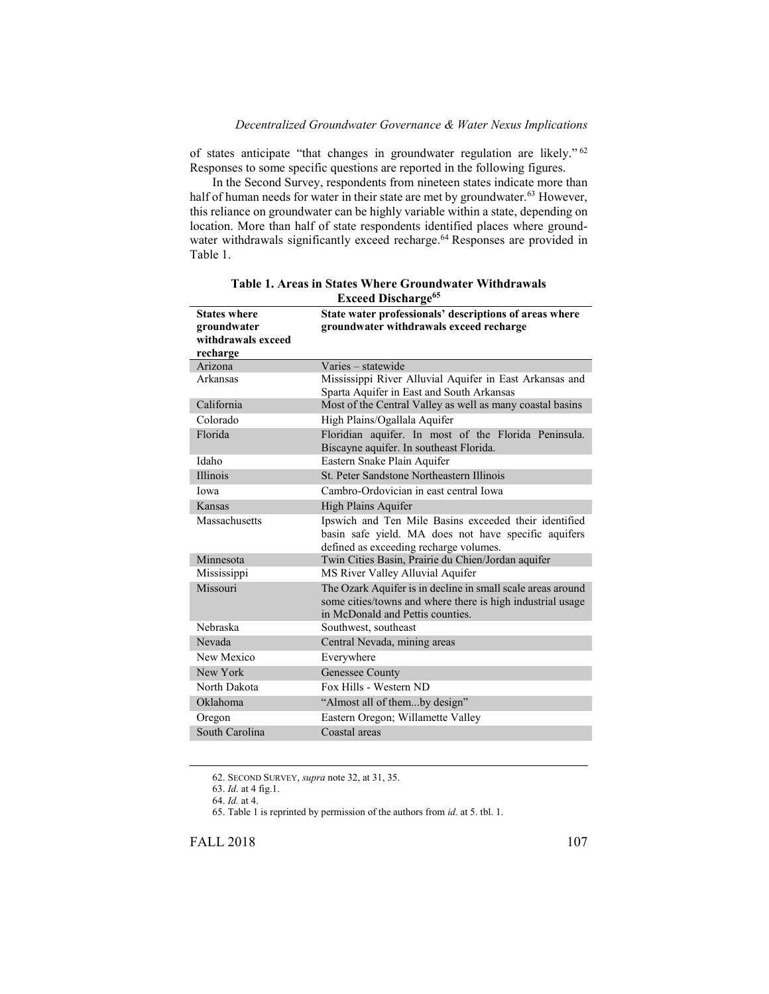of states anticipate "that changes in groundwater regulation are likely." 62 Responses to some specific questions are reported in the following figures.

In the Second Survey, respondents from nineteen states indicate more than half of human needs for water in their state are met by groundwater.<sup>63</sup> However, this reliance on groundwater can be highly variable within a state, depending on location. More than half of state respondents identified places where groundwater withdrawals significantly exceed recharge.<sup>64</sup> Responses are provided in Table 1.

| <b>States where</b> | <b>Exceed Discharge</b><br>State water professionals' descriptions of areas where                                                                             |
|---------------------|---------------------------------------------------------------------------------------------------------------------------------------------------------------|
| groundwater         | groundwater withdrawals exceed recharge                                                                                                                       |
| withdrawals exceed  |                                                                                                                                                               |
| recharge            |                                                                                                                                                               |
| Arizona             | Varies – statewide                                                                                                                                            |
| Arkansas            | Mississippi River Alluvial Aquifer in East Arkansas and<br>Sparta Aquifer in East and South Arkansas                                                          |
| California          | Most of the Central Valley as well as many coastal basins                                                                                                     |
| Colorado            | High Plains/Ogallala Aquifer                                                                                                                                  |
| Florida             | Floridian aquifer. In most of the Florida Peninsula.<br>Biscayne aquifer. In southeast Florida.                                                               |
| Idaho               | Eastern Snake Plain Aquifer                                                                                                                                   |
| <b>Illinois</b>     | St. Peter Sandstone Northeastern Illinois                                                                                                                     |
| Iowa                | Cambro-Ordovician in east central Iowa                                                                                                                        |
| Kansas              | High Plains Aquifer                                                                                                                                           |
| Massachusetts       | Ipswich and Ten Mile Basins exceeded their identified<br>basin safe yield. MA does not have specific aquifers<br>defined as exceeding recharge volumes.       |
| Minnesota           | Twin Cities Basin, Prairie du Chien/Jordan aquifer                                                                                                            |
| Mississippi         | MS River Valley Alluvial Aquifer                                                                                                                              |
| Missouri            | The Ozark Aquifer is in decline in small scale areas around<br>some cities/towns and where there is high industrial usage<br>in McDonald and Pettis counties. |
| Nebraska            | Southwest, southeast                                                                                                                                          |
| Nevada              | Central Nevada, mining areas                                                                                                                                  |
| New Mexico          | Everywhere                                                                                                                                                    |
| New York            | Genessee County                                                                                                                                               |
| North Dakota        | Fox Hills - Western ND                                                                                                                                        |
| Oklahoma            | "Almost all of themby design"                                                                                                                                 |
| Oregon              | Eastern Oregon; Willamette Valley                                                                                                                             |
| South Carolina      | Coastal areas                                                                                                                                                 |

**Table 1. Areas in States Where Groundwater Withdrawals Exceed Discharge<sup>65</sup>**

<sup>62.</sup> SECOND SURVEY, *supra* not[e 32,](#page-5-0) at 31, 35.

<sup>63.</sup> *Id.* at 4 fig.1.

<sup>64.</sup> *Id.* at 4.

<sup>65.</sup> Table 1 is reprinted by permission of the authors from *id.* at 5. tbl. 1.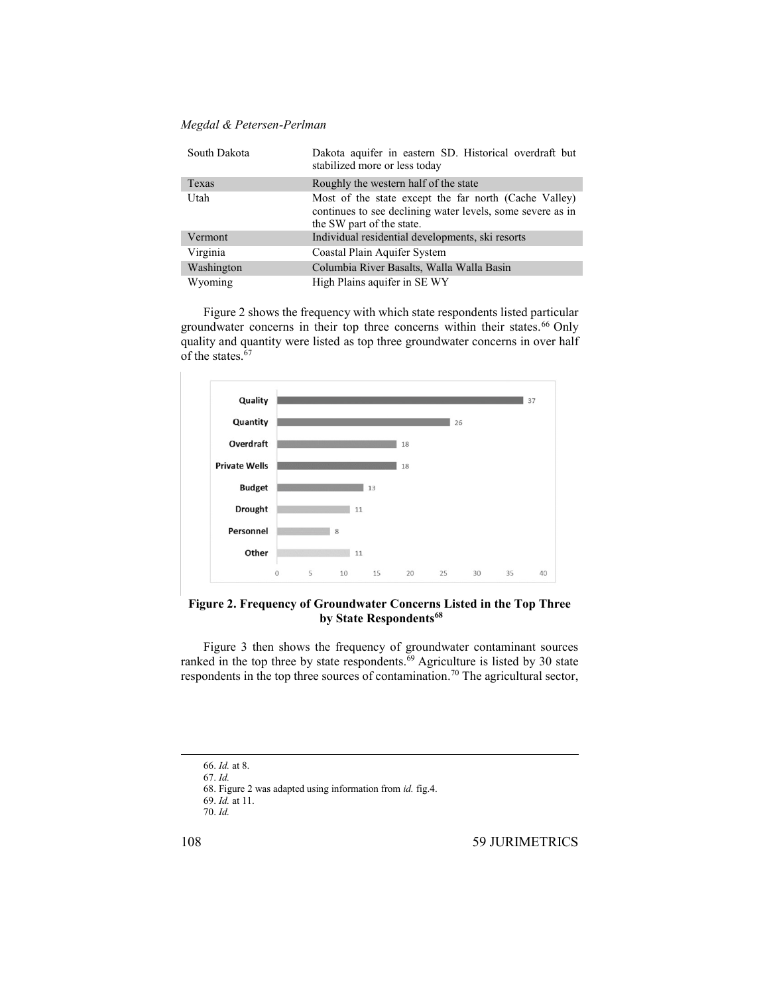| South Dakota | Dakota aquifer in eastern SD. Historical overdraft but<br>stabilized more or less today                                                          |
|--------------|--------------------------------------------------------------------------------------------------------------------------------------------------|
| Texas        | Roughly the western half of the state                                                                                                            |
| Utah         | Most of the state except the far north (Cache Valley)<br>continues to see declining water levels, some severe as in<br>the SW part of the state. |
| Vermont      | Individual residential developments, ski resorts                                                                                                 |
| Virginia     | Coastal Plain Aquifer System                                                                                                                     |
| Washington   | Columbia River Basalts, Walla Walla Basin                                                                                                        |
| Wyoming      | High Plains aquifer in SE WY                                                                                                                     |

Figure 2 shows the frequency with which state respondents listed particular groundwater concerns in their top three concerns within their states. <sup>66</sup> Only quality and quantity were listed as top three groundwater concerns in over half of the states.<sup>67</sup>



# **Figure 2. Frequency of Groundwater Concerns Listed in the Top Three by State Respondents<sup>68</sup>**

Figure 3 then shows the frequency of groundwater contaminant sources ranked in the top three by state respondents.<sup>69</sup> Agriculture is listed by 30 state respondents in the top three sources of contamination.<sup>70</sup> The agricultural sector,

l

<sup>66.</sup> *Id.* at 8.

<sup>67.</sup> *Id.*

<sup>68.</sup> Figure 2 was adapted using information from *id.* fig.4.

<sup>69.</sup> *Id.* at 11.

<sup>70.</sup> *Id.*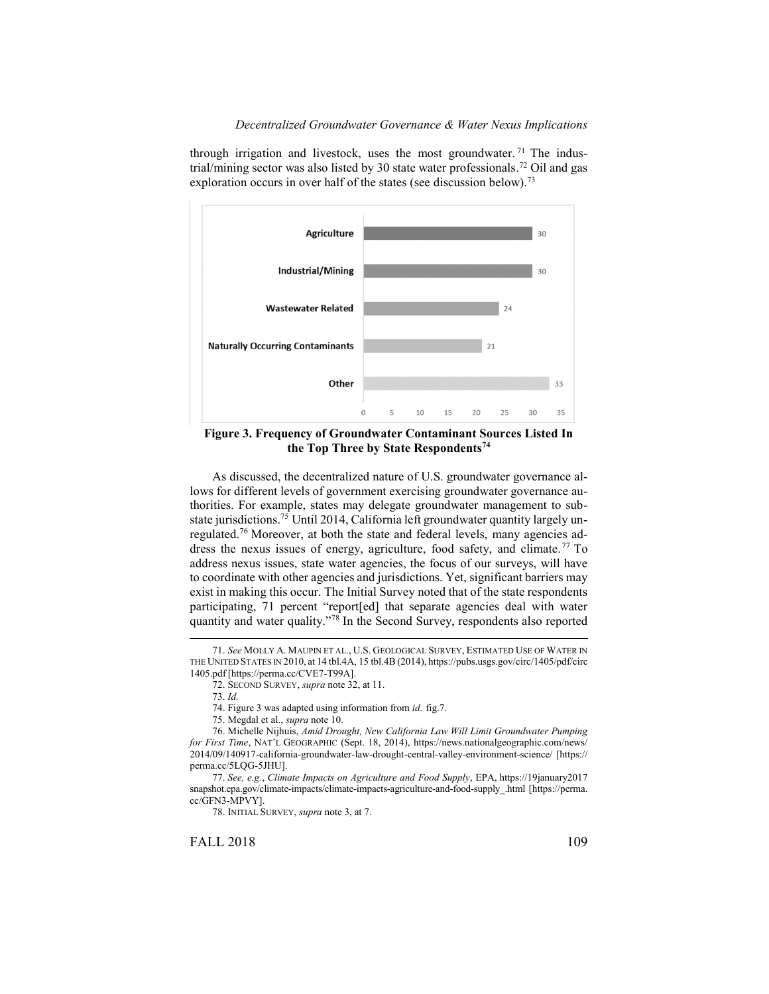

through irrigation and livestock, uses the most groundwater.<sup>71</sup> The industrial/mining sector was also listed by 30 state water professionals.<sup>72</sup> Oil and gas exploration occurs in over half of the states (see discussion below).<sup>73</sup>

**Figure 3. Frequency of Groundwater Contaminant Sources Listed In the Top Three by State Respondents<sup>74</sup>**

As discussed, the decentralized nature of U.S. groundwater governance allows for different levels of government exercising groundwater governance authorities. For example, states may delegate groundwater management to substate jurisdictions. <sup>75</sup> Until 2014, California left groundwater quantity largely unregulated.<sup>76</sup> Moreover, at both the state and federal levels, many agencies address the nexus issues of energy, agriculture, food safety, and climate.<sup>77</sup> To address nexus issues, state water agencies, the focus of our surveys, will have to coordinate with other agencies and jurisdictions. Yet, significant barriers may exist in making this occur. The Initial Survey noted that of the state respondents participating, 71 percent "report[ed] that separate agencies deal with water quantity and water quality."<sup>78</sup> In the Second Survey, respondents also reported

 $\overline{a}$ 

FALL 2018 109

<sup>71.</sup> *See* MOLLY A. MAUPIN ET AL., U.S. GEOLOGICAL SURVEY, ESTIMATED USE OF WATER IN THE UNITED STATES IN 2010, at 14 tbl.4A, 15 tbl.4B (2014), https://pubs.usgs.gov/circ/1405/pdf/circ 1405.pdf [https://perma.cc/CVE7-T99A].

<sup>72.</sup> SECOND SURVEY, *supra* not[e 32,](#page-5-0) at 11.

<sup>73.</sup> *Id.* 

<sup>74.</sup> Figure 3 was adapted using information from *id.* fig.7.

<sup>75.</sup> Megdal et al., *supra* not[e 10.](#page-3-0) 

<sup>76.</sup> Michelle Nijhuis, *Amid Drought, New California Law Will Limit Groundwater Pumping for First Time*, NAT'L GEOGRAPHIC (Sept. 18, 2014), https://news.nationalgeographic.com/news/ 2014/09/140917-california-groundwater-law-drought-central-valley-environment-science/ [https:// perma.cc/5LQG-5JHU].

<sup>77.</sup> *See, e.g.*, *Climate Impacts on Agriculture and Food Supply*, EPA, https://19january2017 snapshot.epa.gov/climate-impacts/climate-impacts-agriculture-and-food-supply\_.html [https://perma. cc/GFN3-MPVY].

<sup>78.</sup> INITIAL SURVEY, *supra* not[e 3,](#page-2-1) at 7.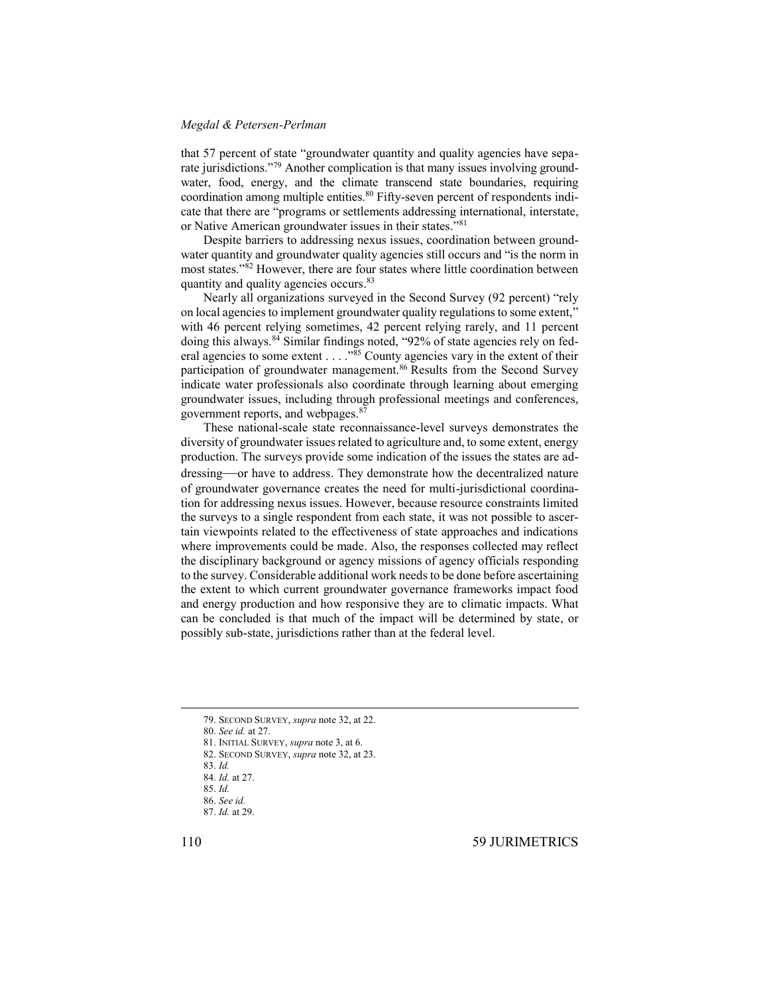that 57 percent of state "groundwater quantity and quality agencies have separate jurisdictions."<sup>79</sup> Another complication is that many issues involving groundwater, food, energy, and the climate transcend state boundaries, requiring coordination among multiple entities.<sup>80</sup> Fifty-seven percent of respondents indicate that there are "programs or settlements addressing international, interstate, or Native American groundwater issues in their states."<sup>81</sup>

Despite barriers to addressing nexus issues, coordination between groundwater quantity and groundwater quality agencies still occurs and "is the norm in most states." <sup>82</sup> However, there are four states where little coordination between quantity and quality agencies occurs.<sup>83</sup>

Nearly all organizations surveyed in the Second Survey (92 percent) "rely on local agencies to implement groundwater quality regulations to some extent," with 46 percent relying sometimes, 42 percent relying rarely, and 11 percent doing this always.<sup>84</sup> Similar findings noted, "92% of state agencies rely on federal agencies to some extent . . . . "<sup>85</sup> County agencies vary in the extent of their participation of groundwater management.<sup>86</sup> Results from the Second Survey indicate water professionals also coordinate through learning about emerging groundwater issues, including through professional meetings and conferences, government reports, and webpages.<sup>87</sup>

These national-scale state reconnaissance-level surveys demonstrates the diversity of groundwater issues related to agriculture and, to some extent, energy production. The surveys provide some indication of the issues the states are addressing—or have to address. They demonstrate how the decentralized nature of groundwater governance creates the need for multi-jurisdictional coordination for addressing nexus issues. However, because resource constraints limited the surveys to a single respondent from each state, it was not possible to ascertain viewpoints related to the effectiveness of state approaches and indications where improvements could be made. Also, the responses collected may reflect the disciplinary background or agency missions of agency officials responding to the survey. Considerable additional work needs to be done before ascertaining the extent to which current groundwater governance frameworks impact food and energy production and how responsive they are to climatic impacts. What can be concluded is that much of the impact will be determined by state, or possibly sub-state, jurisdictions rather than at the federal level.

<sup>79.</sup> SECOND SURVEY, *supra* not[e 32,](#page-5-0) at 22.

<sup>80.</sup> *See id.* at 27.

<sup>81.</sup> INITIAL SURVEY, *supra* not[e 3,](#page-2-1) at 6.

<sup>82.</sup> SECOND SURVEY, *supra* note [32,](#page-5-0) at 23.

<sup>83.</sup> *Id.*

<sup>84.</sup> *Id.* at 27.

<sup>85.</sup> *Id.* 86. *See id.*

<sup>87.</sup> *Id.* at 29.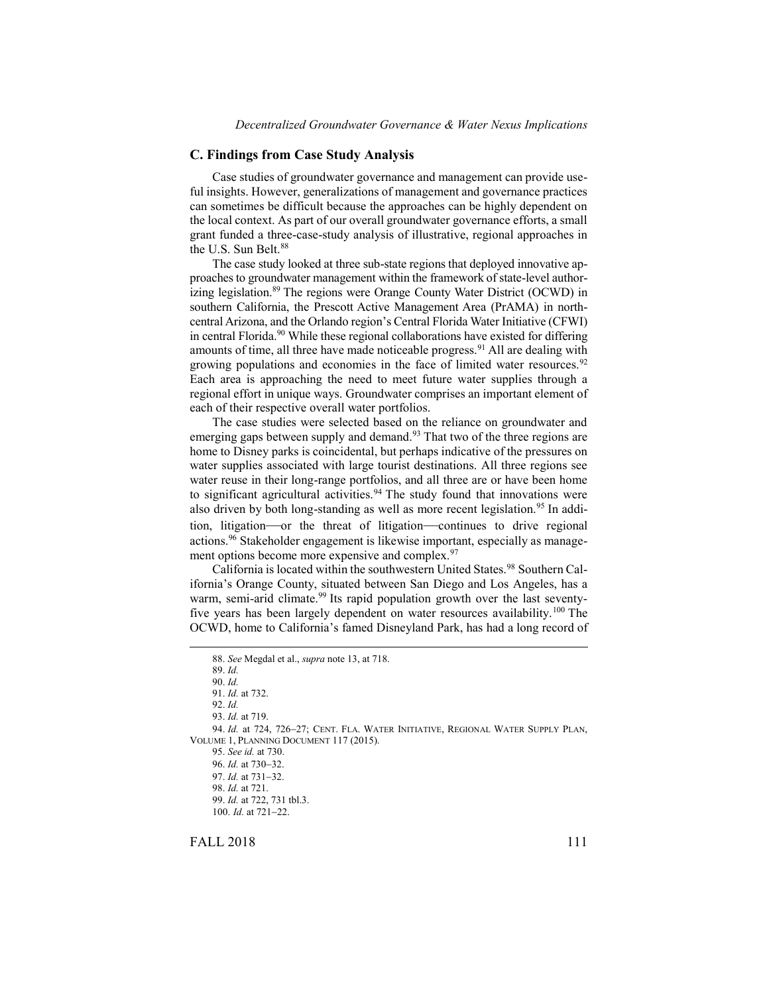#### **C. Findings from Case Study Analysis**

Case studies of groundwater governance and management can provide useful insights. However, generalizations of management and governance practices can sometimes be difficult because the approaches can be highly dependent on the local context. As part of our overall groundwater governance efforts, a small grant funded a three-case-study analysis of illustrative, regional approaches in the U.S. Sun Belt.<sup>88</sup>

The case study looked at three sub-state regions that deployed innovative approaches to groundwater management within the framework of state-level authorizing legislation. <sup>89</sup> The regions were Orange County Water District (OCWD) in southern California, the Prescott Active Management Area (PrAMA) in northcentral Arizona, and the Orlando region's Central Florida Water Initiative (CFWI) in central Florida. <sup>90</sup> While these regional collaborations have existed for differing amounts of time, all three have made noticeable progress.<sup>91</sup> All are dealing with growing populations and economies in the face of limited water resources. 92 Each area is approaching the need to meet future water supplies through a regional effort in unique ways. Groundwater comprises an important element of each of their respective overall water portfolios.

The case studies were selected based on the reliance on groundwater and emerging gaps between supply and demand.<sup>93</sup> That two of the three regions are home to Disney parks is coincidental, but perhaps indicative of the pressures on water supplies associated with large tourist destinations. All three regions see water reuse in their long-range portfolios, and all three are or have been home to significant agricultural activities.<sup>94</sup> The study found that innovations were also driven by both long-standing as well as more recent legislation.<sup>95</sup> In addition, litigation—or the threat of litigation—continues to drive regional actions.<sup>96</sup> Stakeholder engagement is likewise important, especially as management options become more expensive and complex.<sup>97</sup>

California is located within the southwestern United States.<sup>98</sup> Southern California's Orange County, situated between San Diego and Los Angeles, has a warm, semi-arid climate.<sup>99</sup> Its rapid population growth over the last seventyfive years has been largely dependent on water resources availability.<sup>100</sup> The OCWD, home to California's famed Disneyland Park, has had a long record of

FALL 2018 111

<sup>88.</sup> *See* Megdal et al., *supra* not[e 13,](#page-3-1) at 718. 89. *Id.*  90. *Id.* 91. *Id.* at 732. 92. *Id.* 93. *Id.* at 719. 94. *Id.* at 724, 726-27; CENT. FLA. WATER INITIATIVE, REGIONAL WATER SUPPLY PLAN, VOLUME 1, PLANNING DOCUMENT 117 (2015). 95. *See id.* at 730. 96. *Id.* at 730-32. 97. *Id.* at 731-32. 98. *Id.* at 721. 99. *Id.* at 722, 731 tbl.3. 100. *Id.* at 721-22.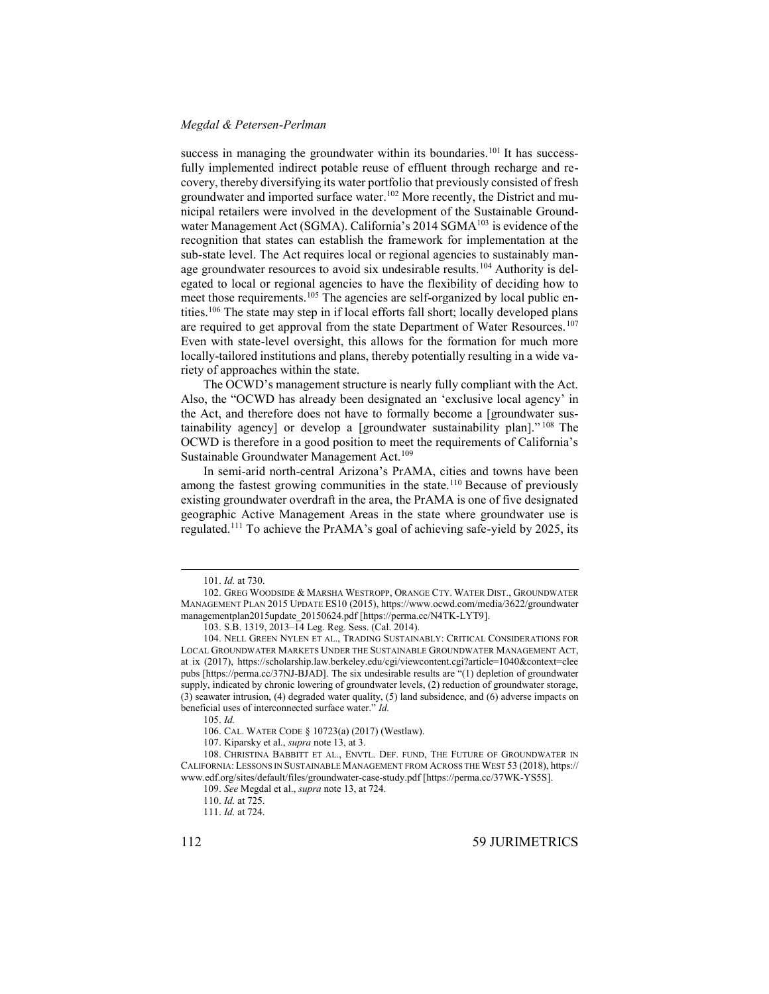<span id="page-13-1"></span>success in managing the groundwater within its boundaries.<sup>101</sup> It has successfully implemented indirect potable reuse of effluent through recharge and recovery, thereby diversifying its water portfolio that previously consisted of fresh groundwater and imported surface water. <sup>102</sup> More recently, the District and municipal retailers were involved in the development of the Sustainable Groundwater Management Act (SGMA). California's  $2014$  SGMA<sup>103</sup> is evidence of the recognition that states can establish the framework for implementation at the sub-state level. The Act requires local or regional agencies to sustainably manage groundwater resources to avoid six undesirable results.<sup>104</sup> Authority is delegated to local or regional agencies to have the flexibility of deciding how to meet those requirements.<sup>105</sup> The agencies are self-organized by local public entities.<sup>106</sup> The state may step in if local efforts fall short; locally developed plans are required to get approval from the state Department of Water Resources.<sup>107</sup> Even with state-level oversight, this allows for the formation for much more locally-tailored institutions and plans, thereby potentially resulting in a wide variety of approaches within the state.

<span id="page-13-0"></span>The OCWD's management structure is nearly fully compliant with the Act. Also, the "OCWD has already been designated an 'exclusive local agency' in the Act, and therefore does not have to formally become a [groundwater sustainability agency] or develop a [groundwater sustainability plan]." <sup>108</sup> The OCWD is therefore in a good position to meet the requirements of California's Sustainable Groundwater Management Act.<sup>109</sup>

In semi-arid north-central Arizona's PrAMA, cities and towns have been among the fastest growing communities in the state.<sup>110</sup> Because of previously existing groundwater overdraft in the area, the PrAMA is one of five designated geographic Active Management Areas in the state where groundwater use is regulated.<sup>111</sup> To achieve the PrAMA's goal of achieving safe-yield by 2025, its

 $\overline{a}$ 

105. *Id.*

<sup>101.</sup> *Id.* at 730.

<sup>102.</sup> GREG WOODSIDE & MARSHA WESTROPP, ORANGE CTY. WATER DIST., GROUNDWATER MANAGEMENT PLAN 2015 UPDATE ES10 (2015), https://www.ocwd.com/media/3622/groundwater managementplan2015update\_20150624.pdf [https://perma.cc/N4TK-LYT9].

<sup>103.</sup> S.B. 1319, 2013–14 Leg. Reg. Sess. (Cal. 2014).

<sup>104.</sup> NELL GREEN NYLEN ET AL., TRADING SUSTAINABLY: CRITICAL CONSIDERATIONS FOR LOCAL GROUNDWATER MARKETS UNDER THE SUSTAINABLE GROUNDWATER MANAGEMENT ACT, at ix (2017), https://scholarship.law.berkeley.edu/cgi/viewcontent.cgi?article=1040&context=clee pubs [https://perma.cc/37NJ-BJAD]. The six undesirable results are "(1) depletion of groundwater supply, indicated by chronic lowering of groundwater levels, (2) reduction of groundwater storage, (3) seawater intrusion, (4) degraded water quality, (5) land subsidence, and (6) adverse impacts on beneficial uses of interconnected surface water." *Id.* 

<sup>106.</sup> CAL. WATER CODE § 10723(a) (2017) (Westlaw).

<sup>107.</sup> Kiparsky et al., *supra* not[e 13,](#page-3-1) at 3.

<sup>108.</sup> CHRISTINA BABBITT ET AL., ENVTL. DEF. FUND, THE FUTURE OF GROUNDWATER IN CALIFORNIA: LESSONS IN SUSTAINABLE MANAGEMENT FROM ACROSS THE WEST 53 (2018), https:// www.edf.org/sites/default/files/groundwater-case-study.pdf [https://perma.cc/37WK-YS5S].

<sup>109.</sup> *See* Megdal et al., *supra* not[e 13,](#page-3-1) at 724.

<sup>110.</sup> *Id.* at 725.

<sup>111.</sup> *Id.* at 724.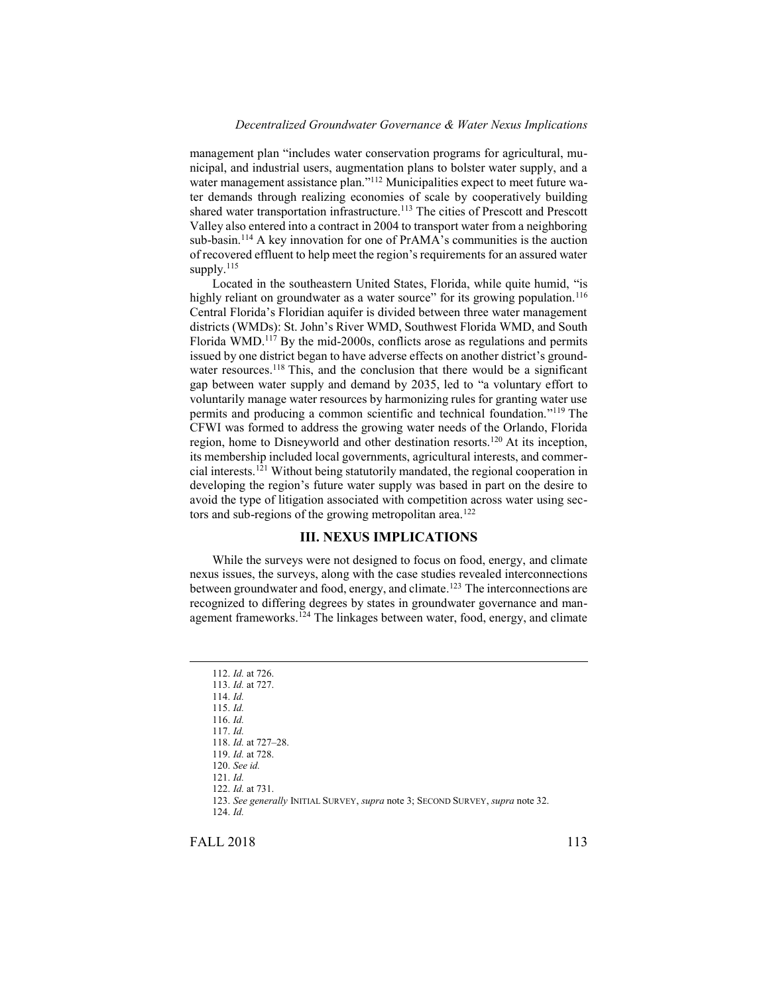management plan "includes water conservation programs for agricultural, municipal, and industrial users, augmentation plans to bolster water supply, and a water management assistance plan." <sup>112</sup> Municipalities expect to meet future water demands through realizing economies of scale by cooperatively building shared water transportation infrastructure.<sup>113</sup> The cities of Prescott and Prescott Valley also entered into a contract in 2004 to transport water from a neighboring sub-basin.<sup>114</sup> A key innovation for one of PrAMA's communities is the auction of recovered effluent to help meet the region's requirements for an assured water supply.<sup>115</sup>

Located in the southeastern United States, Florida, while quite humid, "is highly reliant on groundwater as a water source" for its growing population.<sup>116</sup> Central Florida's Floridian aquifer is divided between three water management districts (WMDs): St. John's River WMD, Southwest Florida WMD, and South Florida WMD.<sup>117</sup> By the mid-2000s, conflicts arose as regulations and permits issued by one district began to have adverse effects on another district's groundwater resources.<sup>118</sup> This, and the conclusion that there would be a significant gap between water supply and demand by 2035, led to "a voluntary effort to voluntarily manage water resources by harmonizing rules for granting water use permits and producing a common scientific and technical foundation."<sup>119</sup> The CFWI was formed to address the growing water needs of the Orlando, Florida region, home to Disneyworld and other destination resorts.<sup>120</sup> At its inception, its membership included local governments, agricultural interests, and commercial interests.<sup>121</sup> Without being statutorily mandated, the regional cooperation in developing the region's future water supply was based in part on the desire to avoid the type of litigation associated with competition across water using sectors and sub-regions of the growing metropolitan area.<sup>122</sup>

# **III. NEXUS IMPLICATIONS**

While the surveys were not designed to focus on food, energy, and climate nexus issues, the surveys, along with the case studies revealed interconnections between groundwater and food, energy, and climate.<sup>123</sup> The interconnections are recognized to differing degrees by states in groundwater governance and management frameworks.<sup>124</sup> The linkages between water, food, energy, and climate

FALL 2018 113

<sup>112.</sup> *Id.* at 726. 113. *Id.* at 727. 114. *Id.*  115. *Id.* 116. *Id.* 117. *Id.* 118. *Id.* at 727–28. 119. *Id.* at 728. 120. *See id.*  121. *Id.*  122. *Id.* at 731. 123. *See generally* INITIAL SURVEY, *supra* note [3;](#page-2-1) SECOND SURVEY, *supra* not[e 32.](#page-5-0) 124. *Id.*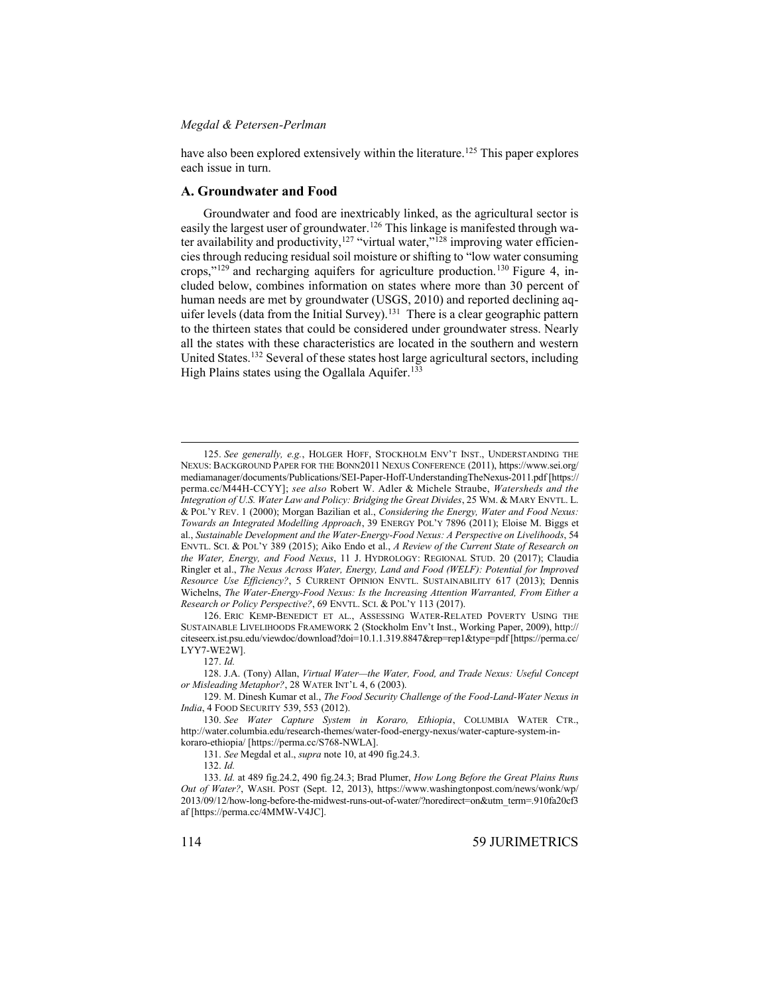have also been explored extensively within the literature.<sup>125</sup> This paper explores each issue in turn.

#### **A. Groundwater and Food**

Groundwater and food are inextricably linked, as the agricultural sector is easily the largest user of groundwater.<sup>126</sup> This linkage is manifested through water availability and productivity,<sup>127</sup> "virtual water,"<sup>128</sup> improving water efficiencies through reducing residual soil moisture or shifting to "low water consuming crops,"<sup>129</sup> and recharging aquifers for agriculture production.<sup>130</sup> Figure 4, included below, combines information on states where more than 30 percent of human needs are met by groundwater (USGS, 2010) and reported declining aquifer levels (data from the Initial Survey).<sup>131</sup> There is a clear geographic pattern to the thirteen states that could be considered under groundwater stress. Nearly all the states with these characteristics are located in the southern and western United States.<sup>132</sup> Several of these states host large agricultural sectors, including High Plains states using the Ogallala Aquifer.<sup>133</sup>

126. ERIC KEMP-BENEDICT ET AL., ASSESSING WATER-RELATED POVERTY USING THE SUSTAINABLE LIVELIHOODS FRAMEWORK 2 (Stockholm Env't Inst., Working Paper, 2009), http:// citeseerx.ist.psu.edu/viewdoc/download?doi=10.1.1.319.8847&rep=rep1&type=pdf [https://perma.cc/ LYY7-WE2W].

127. *Id.* 

<sup>125.</sup> *See generally, e.g.*, HOLGER HOFF, STOCKHOLM ENV'T INST., UNDERSTANDING THE NEXUS: BACKGROUND PAPER FOR THE BONN2011 NEXUS CONFERENCE (2011), https://www.sei.org/ mediamanager/documents/Publications/SEI-Paper-Hoff-UnderstandingTheNexus-2011.pdf [https:// perma.cc/M44H-CCYY]; *see also* Robert W. Adler & Michele Straube, *Watersheds and the Integration of U.S. Water Law and Policy: Bridging the Great Divides*, 25 WM. & MARY ENVTL. L. & POL'Y REV. 1 (2000); Morgan Bazilian et al., *Considering the Energy, Water and Food Nexus: Towards an Integrated Modelling Approach*, 39 ENERGY POL'Y 7896 (2011); Eloise M. Biggs et al., *Sustainable Development and the Water-Energy-Food Nexus: A Perspective on Livelihoods*, 54 ENVTL. SCI. & POL'Y 389 (2015); Aiko Endo et al., *A Review of the Current State of Research on the Water, Energy, and Food Nexus*, 11 J. HYDROLOGY: REGIONAL STUD. 20 (2017); Claudia Ringler et al., *The Nexus Across Water, Energy, Land and Food (WELF): Potential for Improved Resource Use Efficiency?*, 5 CURRENT OPINION ENVTL. SUSTAINABILITY 617 (2013); Dennis Wichelns, *The Water-Energy-Food Nexus: Is the Increasing Attention Warranted, From Either a Research or Policy Perspective?*, 69 ENVTL. SCI. & POL'Y 113 (2017).

<sup>128.</sup> J.A. (Tony) Allan, *Virtual Water—the Water, Food, and Trade Nexus: Useful Concept or Misleading Metaphor?*, 28 WATER INT'L 4, 6 (2003).

<sup>129.</sup> M. Dinesh Kumar et al., *The Food Security Challenge of the Food-Land-Water Nexus in India*, 4 FOOD SECURITY 539, 553 (2012).

<sup>130.</sup> *See Water Capture System in Koraro, Ethiopia*, COLUMBIA WATER CTR., http://water.columbia.edu/research-themes/water-food-energy-nexus/water-capture-system-inkoraro-ethiopia/ [https://perma.cc/S768-NWLA].

<sup>131.</sup> *See* Megdal et al., *supra* not[e 10,](#page-3-0) at 490 fig.24.3.

<sup>132.</sup> *Id.*

<sup>133.</sup> *Id.* at 489 fig.24.2, 490 fig.24.3; Brad Plumer, *How Long Before the Great Plains Runs Out of Water?*, WASH. POST (Sept. 12, 2013), https://www.washingtonpost.com/news/wonk/wp/ 2013/09/12/how-long-before-the-midwest-runs-out-of-water/?noredirect=on&utm\_term=.910fa20cf3 af [https://perma.cc/4MMW-V4JC].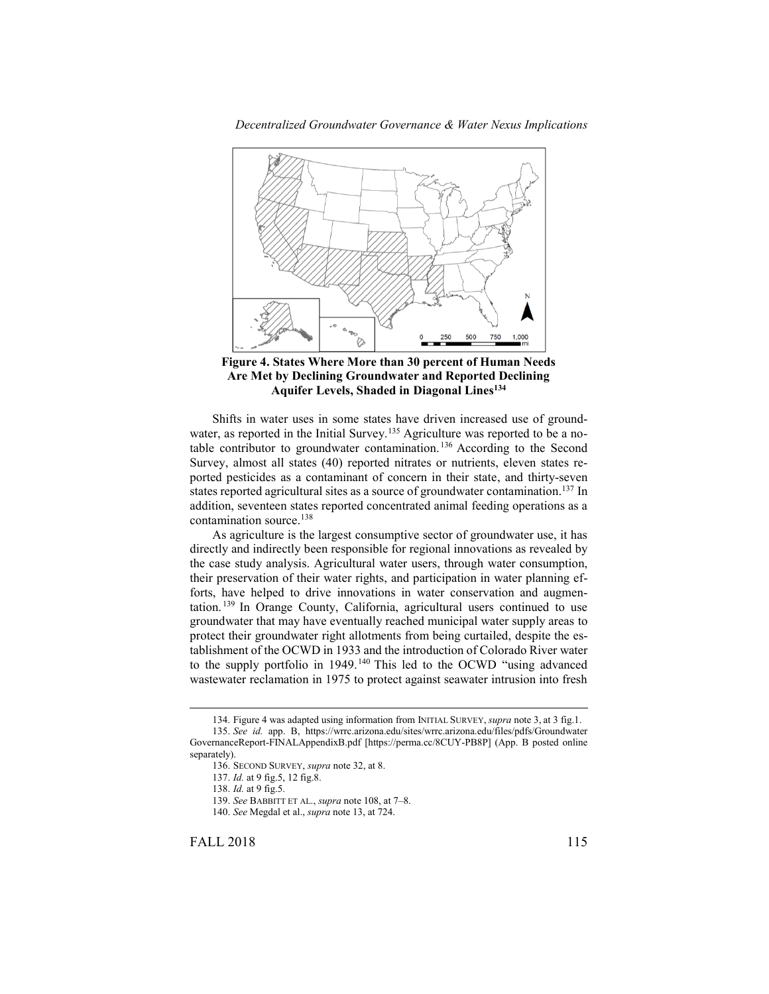



Shifts in water uses in some states have driven increased use of groundwater, as reported in the Initial Survey.<sup>135</sup> Agriculture was reported to be a notable contributor to groundwater contamination.<sup>136</sup> According to the Second Survey, almost all states (40) reported nitrates or nutrients, eleven states reported pesticides as a contaminant of concern in their state, and thirty-seven states reported agricultural sites as a source of groundwater contamination.<sup>137</sup> In addition, seventeen states reported concentrated animal feeding operations as a contamination source.<sup>138</sup>

As agriculture is the largest consumptive sector of groundwater use, it has directly and indirectly been responsible for regional innovations as revealed by the case study analysis. Agricultural water users, through water consumption, their preservation of their water rights, and participation in water planning efforts, have helped to drive innovations in water conservation and augmentation. <sup>139</sup> In Orange County, California, agricultural users continued to use groundwater that may have eventually reached municipal water supply areas to protect their groundwater right allotments from being curtailed, despite the establishment of the OCWD in 1933 and the introduction of Colorado River water to the supply portfolio in 1949.<sup>140</sup> This led to the OCWD "using advanced wastewater reclamation in 1975 to protect against seawater intrusion into fresh

FALL 2018 115

<sup>134.</sup> Figure 4 was adapted using information from INITIAL SURVEY, *supra* note [3,](#page-2-1) at 3 fig.1. 135. *See id.* app. B, https://wrrc.arizona.edu/sites/wrrc.arizona.edu/files/pdfs/Groundwater GovernanceReport-FINALAppendixB.pdf [https://perma.cc/8CUY-PB8P] (App. B posted online separately).

<sup>136.</sup> SECOND SURVEY, *supra* not[e 32,](#page-5-0) at 8.

<sup>137.</sup> *Id.* at 9 fig.5, 12 fig.8.

<sup>138.</sup> *Id.* at 9 fig.5.

<sup>139.</sup> *See* BABBITT ET AL., *supra* not[e 108,](#page-13-0) at 7–8.

<sup>140.</sup> *See* Megdal et al., *supra* not[e 13,](#page-3-1) at 724.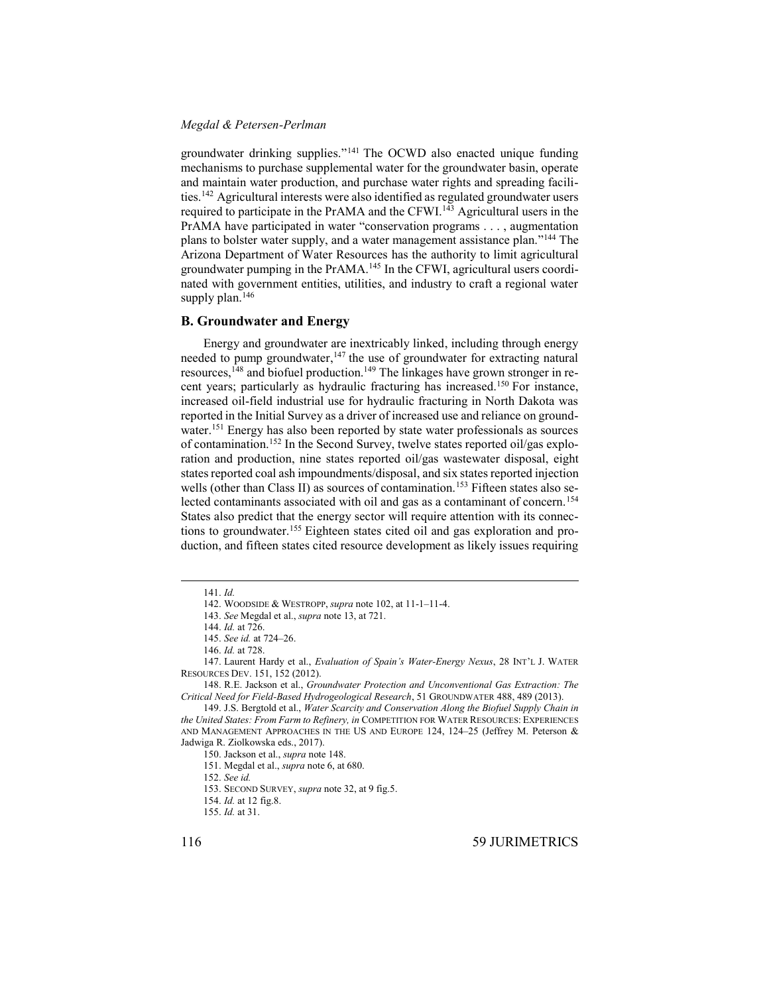groundwater drinking supplies." <sup>141</sup> The OCWD also enacted unique funding mechanisms to purchase supplemental water for the groundwater basin, operate and maintain water production, and purchase water rights and spreading facilities.<sup>142</sup> Agricultural interests were also identified as regulated groundwater users required to participate in the PrAMA and the CFWI.<sup>143</sup> Agricultural users in the PrAMA have participated in water "conservation programs . . . , augmentation plans to bolster water supply, and a water management assistance plan." <sup>144</sup> The Arizona Department of Water Resources has the authority to limit agricultural groundwater pumping in the PrAMA.<sup>145</sup> In the CFWI, agricultural users coordinated with government entities, utilities, and industry to craft a regional water supply plan.<sup>146</sup>

#### **B. Groundwater and Energy**

<span id="page-17-0"></span>Energy and groundwater are inextricably linked, including through energy needed to pump groundwater,<sup>147</sup> the use of groundwater for extracting natural resources, <sup>148</sup> and biofuel production. <sup>149</sup> The linkages have grown stronger in recent years; particularly as hydraulic fracturing has increased.<sup>150</sup> For instance, increased oil-field industrial use for hydraulic fracturing in North Dakota was reported in the Initial Survey as a driver of increased use and reliance on groundwater.<sup>151</sup> Energy has also been reported by state water professionals as sources of contamination.<sup>152</sup> In the Second Survey, twelve states reported oil/gas exploration and production, nine states reported oil/gas wastewater disposal, eight states reported coal ash impoundments/disposal, and six states reported injection wells (other than Class II) as sources of contamination.<sup>153</sup> Fifteen states also selected contaminants associated with oil and gas as a contaminant of concern.<sup>154</sup> States also predict that the energy sector will require attention with its connections to groundwater.<sup>155</sup> Eighteen states cited oil and gas exploration and production, and fifteen states cited resource development as likely issues requiring

<sup>141.</sup> *Id.*

<sup>142.</sup> WOODSIDE & WESTROPP, *supra* not[e 102,](#page-13-1) at 11-1–11-4.

<sup>143.</sup> *See* Megdal et al., *supra* not[e 13,](#page-3-1) at 721.

<sup>144.</sup> *Id.* at 726.

<sup>145.</sup> *See id.* at 724–26.

<sup>146.</sup> *Id.* at 728.

<sup>147.</sup> Laurent Hardy et al., *Evaluation of Spain's Water-Energy Nexus*, 28 INT'L J. WATER RESOURCES DEV. 151, 152 (2012).

<sup>148.</sup> R.E. Jackson et al., *Groundwater Protection and Unconventional Gas Extraction: The Critical Need for Field-Based Hydrogeological Research*, 51 GROUNDWATER 488, 489 (2013).

<sup>149.</sup> J.S. Bergtold et al., *Water Scarcity and Conservation Along the Biofuel Supply Chain in the United States: From Farm to Refinery, in* COMPETITION FOR WATER RESOURCES: EXPERIENCES AND MANAGEMENT APPROACHES IN THE US AND EUROPE 124, 124–25 (Jeffrey M. Peterson & Jadwiga R. Ziolkowska eds., 2017).

<sup>150.</sup> Jackson et al., *supra* not[e 148.](#page-17-0)

<sup>151.</sup> Megdal et al., *supra* not[e 6,](#page-2-2) at 680.

<sup>152.</sup> *See id.*

<sup>153.</sup> SECOND SURVEY, *supra* not[e 32,](#page-5-0) at 9 fig.5.

<sup>154.</sup> *Id.* at 12 fig.8.

<sup>155.</sup> *Id.* at 31.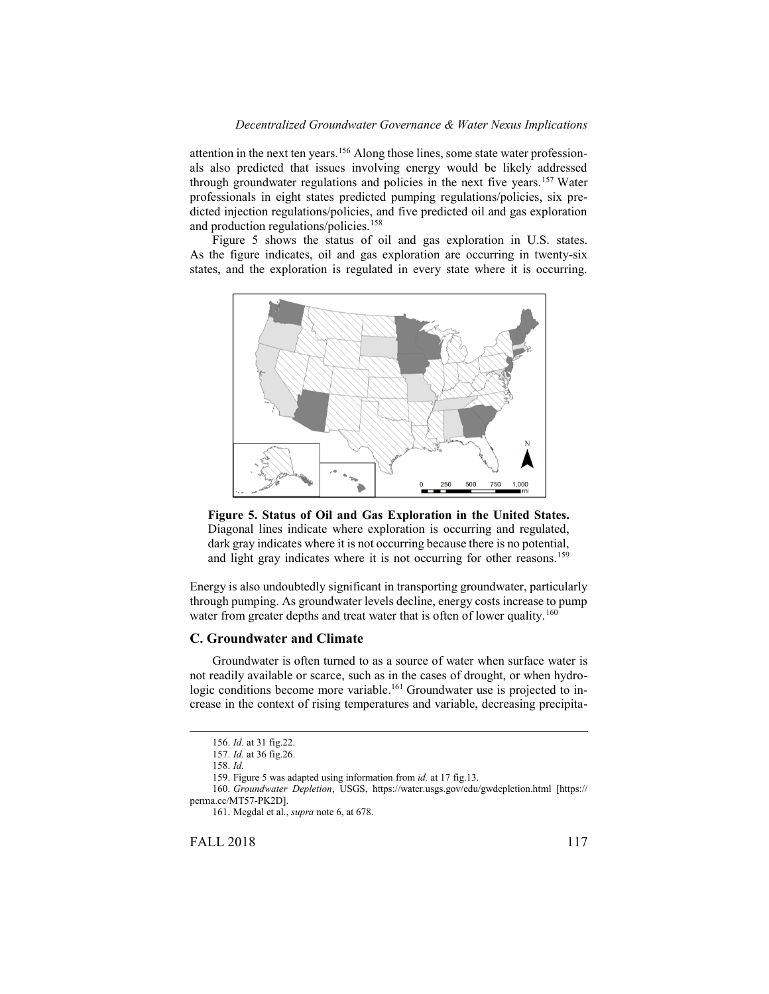attention in the next ten years.<sup>156</sup> Along those lines, some state water professionals also predicted that issues involving energy would be likely addressed through groundwater regulations and policies in the next five years.<sup>157</sup> Water professionals in eight states predicted pumping regulations/policies, six predicted injection regulations/policies, and five predicted oil and gas exploration and production regulations/policies.<sup>158</sup>

Figure 5 shows the status of oil and gas exploration in U.S. states. As the figure indicates, oil and gas exploration are occurring in twenty-six states, and the exploration is regulated in every state where it is occurring.





Energy is also undoubtedly significant in transporting groundwater, particularly through pumping. As groundwater levels decline, energy costs increase to pump water from greater depths and treat water that is often of lower quality.<sup>160</sup>

#### **C. Groundwater and Climate**

Groundwater is often turned to as a source of water when surface water is not readily available or scarce, such as in the cases of drought, or when hydrologic conditions become more variable.<sup>161</sup> Groundwater use is projected to increase in the context of rising temperatures and variable, decreasing precipita-

 $\overline{a}$ 

FALL 2018 117

<sup>156.</sup> *Id.* at 31 fig.22.

<sup>157.</sup> *Id.* at 36 fig.26.

<sup>158.</sup> *Id.*

<sup>159.</sup> Figure 5 was adapted using information from *id.* at 17 fig.13.

<sup>160.</sup> *Groundwater Depletion*, USGS, https://water.usgs.gov/edu/gwdepletion.html [https:// perma.cc/MT57-PK2D].

<sup>161.</sup> Megdal et al., *supra* not[e 6,](#page-2-2) at 678.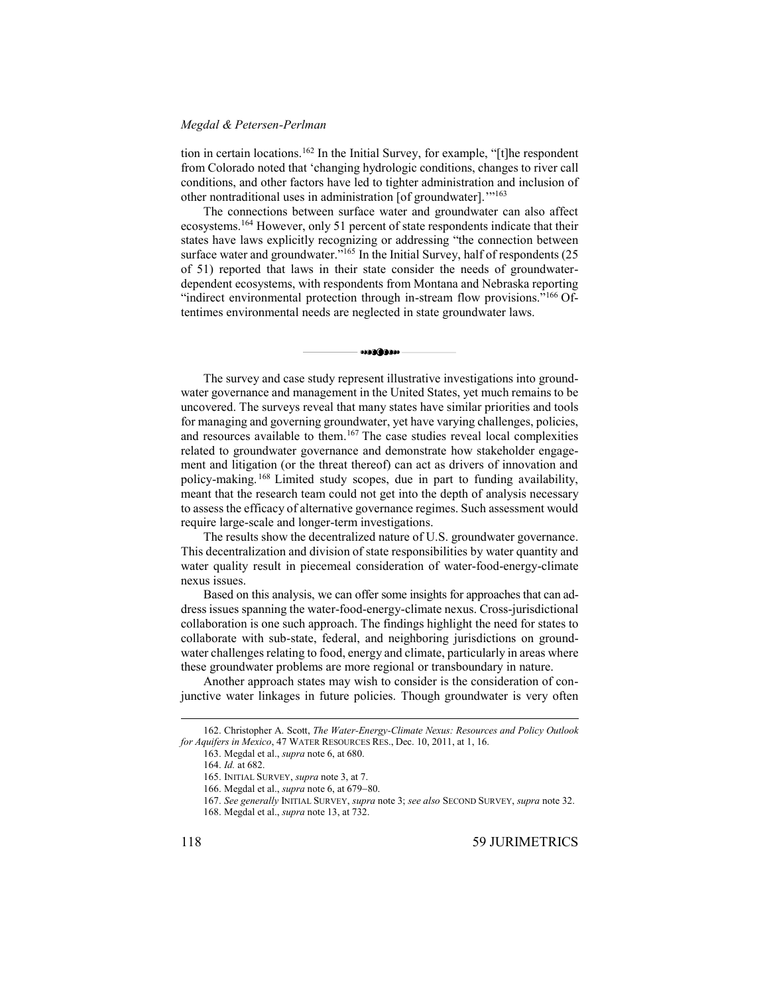tion in certain locations.<sup>162</sup> In the Initial Survey, for example, "[t]he respondent from Colorado noted that 'changing hydrologic conditions, changes to river call conditions, and other factors have led to tighter administration and inclusion of other nontraditional uses in administration [of groundwater]."<sup>163</sup>

The connections between surface water and groundwater can also affect ecosystems.<sup>164</sup> However, only 51 percent of state respondents indicate that their states have laws explicitly recognizing or addressing "the connection between surface water and groundwater."<sup>165</sup> In the Initial Survey, half of respondents (25 of 51) reported that laws in their state consider the needs of groundwaterdependent ecosystems, with respondents from Montana and Nebraska reporting "indirect environmental protection through in-stream flow provisions."<sup>166</sup> Oftentimes environmental needs are neglected in state groundwater laws.

\*\*\*\*\*\*\*\*\*

The survey and case study represent illustrative investigations into groundwater governance and management in the United States, yet much remains to be uncovered. The surveys reveal that many states have similar priorities and tools for managing and governing groundwater, yet have varying challenges, policies, and resources available to them. <sup>167</sup> The case studies reveal local complexities related to groundwater governance and demonstrate how stakeholder engagement and litigation (or the threat thereof) can act as drivers of innovation and policy-making. <sup>168</sup> Limited study scopes, due in part to funding availability, meant that the research team could not get into the depth of analysis necessary to assess the efficacy of alternative governance regimes. Such assessment would require large-scale and longer-term investigations.

The results show the decentralized nature of U.S. groundwater governance. This decentralization and division of state responsibilities by water quantity and water quality result in piecemeal consideration of water-food-energy-climate nexus issues.

Based on this analysis, we can offer some insights for approaches that can address issues spanning the water-food-energy-climate nexus. Cross-jurisdictional collaboration is one such approach. The findings highlight the need for states to collaborate with sub-state, federal, and neighboring jurisdictions on groundwater challenges relating to food, energy and climate, particularly in areas where these groundwater problems are more regional or transboundary in nature.

Another approach states may wish to consider is the consideration of conjunctive water linkages in future policies. Though groundwater is very often

<sup>162.</sup> Christopher A. Scott, *The Water-Energy-Climate Nexus: Resources and Policy Outlook for Aquifers in Mexico*, 47 WATER RESOURCES RES., Dec. 10, 2011, at 1, 16.

<sup>163.</sup> Megdal et al., *supra* not[e 6,](#page-2-2) at 680.

<sup>164.</sup> *Id.* at 682.

<sup>165.</sup> INITIAL SURVEY, *supra* not[e 3,](#page-2-1) at 7.

<sup>166.</sup> Megdal et al., *supra* not[e 6,](#page-2-2) at 679-80.

<sup>167.</sup> *See generally* INITIAL SURVEY, *supra* not[e 3;](#page-2-1) *see also* SECOND SURVEY, *supra* not[e 32.](#page-5-0) 168. Megdal et al., *supra* not[e 13,](#page-3-1) at 732.